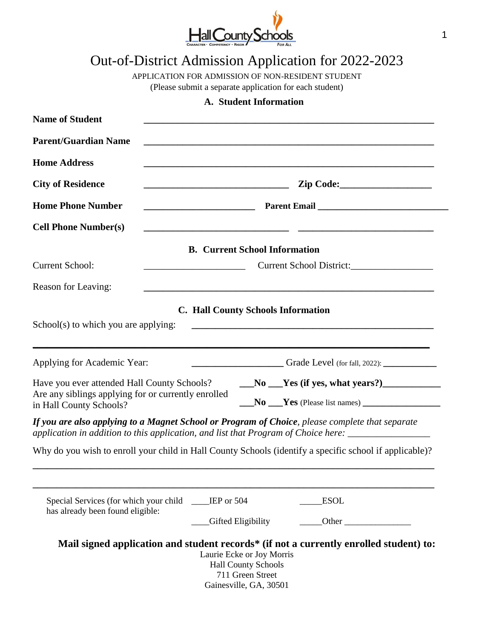

## Out-of-District Admission Application for 2022-2023

APPLICATION FOR ADMISSION OF NON-RESIDENT STUDENT

(Please submit a separate application for each student)

## **A. Student Information**

| <b>Name of Student</b><br><b>Parent/Guardian Name</b>                                                                         |                                                                                                                                                                                                        |  |
|-------------------------------------------------------------------------------------------------------------------------------|--------------------------------------------------------------------------------------------------------------------------------------------------------------------------------------------------------|--|
|                                                                                                                               |                                                                                                                                                                                                        |  |
| <b>City of Residence</b>                                                                                                      |                                                                                                                                                                                                        |  |
| <b>Home Phone Number</b>                                                                                                      |                                                                                                                                                                                                        |  |
| <b>Cell Phone Number(s)</b>                                                                                                   |                                                                                                                                                                                                        |  |
|                                                                                                                               | <b>B.</b> Current School Information                                                                                                                                                                   |  |
| <b>Current School:</b>                                                                                                        | Current School District:                                                                                                                                                                               |  |
| Reason for Leaving:                                                                                                           |                                                                                                                                                                                                        |  |
| School(s) to which you are applying:                                                                                          | <b>C. Hall County Schools Information</b>                                                                                                                                                              |  |
| Applying for Academic Year:                                                                                                   |                                                                                                                                                                                                        |  |
| Have you ever attended Hall County Schools?<br>Are any siblings applying for or currently enrolled<br>in Hall County Schools? | $N_0$ $Y$ es (if yes, what years?)                                                                                                                                                                     |  |
|                                                                                                                               | If you are also applying to a Magnet School or Program of Choice, please complete that separate<br>application in addition to this application, and list that Program of Choice here: ________________ |  |
|                                                                                                                               | Why do you wish to enroll your child in Hall County Schools (identify a specific school if applicable)?                                                                                                |  |
| Special Services (for which your child ____IEP or 504<br>has already been found eligible:                                     | <b>ESOL</b>                                                                                                                                                                                            |  |
|                                                                                                                               | Gifted Eligibility<br><b>Other</b>                                                                                                                                                                     |  |
|                                                                                                                               | Mail signed application and student records* (if not a currently enrolled student) to:<br>Laurie Ecke or Joy Morris<br><b>Hall County Schools</b><br>711 Green Street<br>Gainesville, GA, 30501        |  |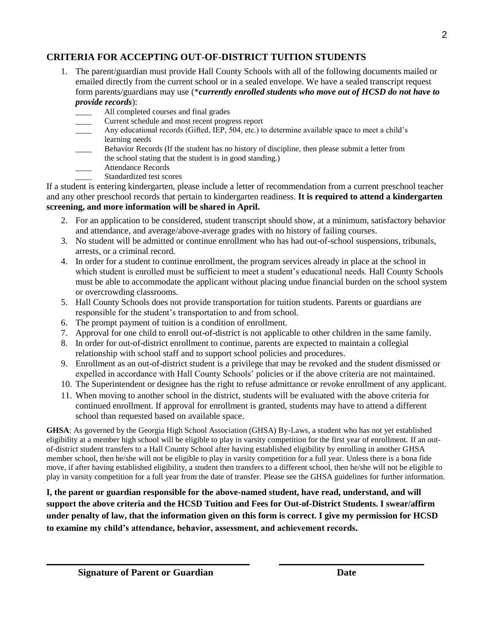## **CRITERIA FOR ACCEPTING OUT-OF-DISTRICT TUITION STUDENTS**

- 1. The parent/guardian must provide Hall County Schools with all of the following documents mailed or emailed directly from the current school or in a sealed envelope. We have a sealed transcript request form parents/guardians may use (\**currently enrolled students who move out of HCSD do not have to provide records*):
	- All completed courses and final grades
	- \_\_\_\_ Current schedule and most recent progress report
	- Any educational records (Gifted, IEP, 504, etc.) to determine available space to meet a child's learning needs
	- Behavior Records (If the student has no history of discipline, then please submit a letter from the school stating that the student is in good standing.)
	- \_\_\_\_ Attendance Records
	- Standardized test scores

If a student is entering kindergarten, please include a letter of recommendation from a current preschool teacher and any other preschool records that pertain to kindergarten readiness. **It is required to attend a kindergarten screening, and more information will be shared in April.** 

- 2. For an application to be considered, student transcript should show, at a minimum, satisfactory behavior and attendance, and average/above-average grades with no history of failing courses.
- 3. No student will be admitted or continue enrollment who has had out-of-school suspensions, tribunals, arrests, or a criminal record.
- 4. In order for a student to continue enrollment, the program services already in place at the school in which student is enrolled must be sufficient to meet a student's educational needs. Hall County Schools must be able to accommodate the applicant without placing undue financial burden on the school system or overcrowding classrooms.
- 5. Hall County Schools does not provide transportation for tuition students. Parents or guardians are responsible for the student's transportation to and from school.
- 6. The prompt payment of tuition is a condition of enrollment.
- 7. Approval for one child to enroll out-of-district is not applicable to other children in the same family.
- 8. In order for out-of-district enrollment to continue, parents are expected to maintain a collegial relationship with school staff and to support school policies and procedures.
- 9. Enrollment as an out-of-district student is a privilege that may be revoked and the student dismissed or expelled in accordance with Hall County Schools' policies or if the above criteria are not maintained.
- 10. The Superintendent or designee has the right to refuse admittance or revoke enrollment of any applicant.
- 11. When moving to another school in the district, students will be evaluated with the above criteria for continued enrollment. If approval for enrollment is granted, students may have to attend a different school than requested based on available space.

**GHSA**: As governed by the Georgia High School Association (GHSA) By-Laws, a student who has not yet established eligibility at a member high school will be eligible to play in varsity competition for the first year of enrollment. If an outof-district student transfers to a Hall County School after having established eligibility by enrolling in another GHSA member school, then he/she will not be eligible to play in varsity competition for a full year. Unless there is a bona fide move, if after having established eligibility, a student then transfers to a different school, then he/she will not be eligible to play in varsity competition for a full year from the date of transfer. Please see the GHSA guidelines for further information.

**I, the parent or guardian responsible for the above-named student, have read, understand, and will support the above criteria and the HCSD Tuition and Fees for Out-of-District Students. I swear/affirm under penalty of law, that the information given on this form is correct. I give my permission for HCSD to examine my child's attendance, behavior, assessment, and achievement records.**